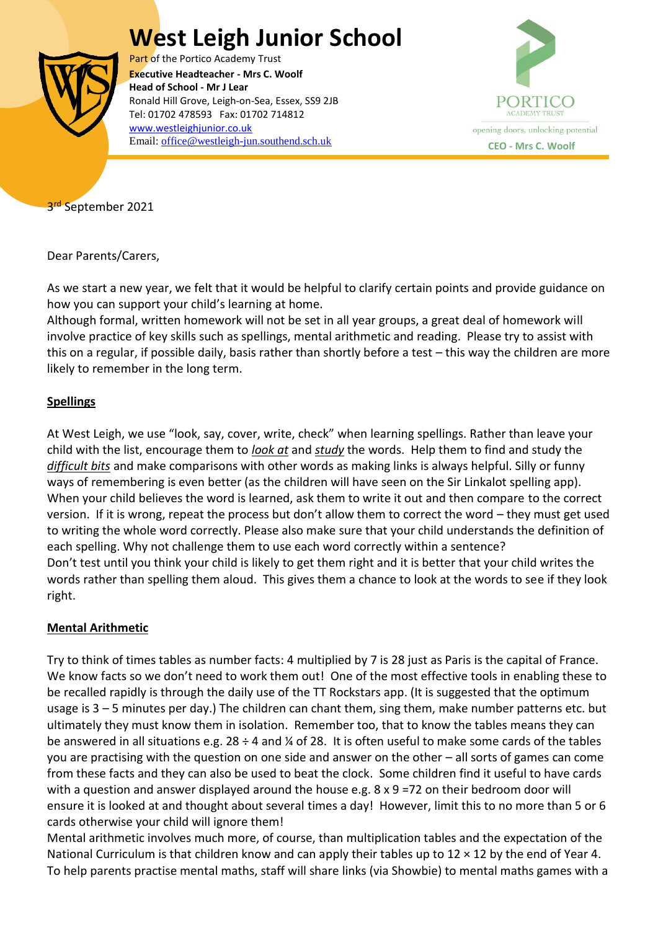## **West Leigh Junior School**



Part of the Portico Academy Trust  Ronald Hill Grove, Leigh-on-Sea, Essex, SS9 2JB **Executive Headteacher - Mrs C. Woolf Head of School - Mr J Lear** Tel: 01702 478593 Fax: 01702 714812 [www.westleighjunior.co.uk](http://www.westleighjunior.co.uk/) Email: [office@westleigh-jun.southend.sch.uk](mailto:office@westleigh-jun.southend.sch.uk) **CEO** - Mrs C. Woolf



3<sup>rd</sup> September 2021

Dear Parents/Carers,

As we start a new year, we felt that it would be helpful to clarify certain points and provide guidance on how you can support your child's learning at home.

Although formal, written homework will not be set in all year groups, a great deal of homework will involve practice of key skills such as spellings, mental arithmetic and reading. Please try to assist with this on a regular, if possible daily, basis rather than shortly before a test – this way the children are more likely to remember in the long term.

## **Spellings**

At West Leigh, we use "look, say, cover, write, check" when learning spellings. Rather than leave your child with the list, encourage them to *look at* and *study* the words. Help them to find and study the *difficult bits* and make comparisons with other words as making links is always helpful. Silly or funny ways of remembering is even better (as the children will have seen on the Sir Linkalot spelling app). When your child believes the word is learned, ask them to write it out and then compare to the correct version. If it is wrong, repeat the process but don't allow them to correct the word – they must get used to writing the whole word correctly. Please also make sure that your child understands the definition of each spelling. Why not challenge them to use each word correctly within a sentence? Don't test until you think your child is likely to get them right and it is better that your child writes the words rather than spelling them aloud. This gives them a chance to look at the words to see if they look right.

## **Mental Arithmetic**

Try to think of times tables as number facts: 4 multiplied by 7 is 28 just as Paris is the capital of France. We know facts so we don't need to work them out! One of the most effective tools in enabling these to be recalled rapidly is through the daily use of the TT Rockstars app. (It is suggested that the optimum usage is 3 – 5 minutes per day.) The children can chant them, sing them, make number patterns etc. but ultimately they must know them in isolation. Remember too, that to know the tables means they can be answered in all situations e.g.  $28 \div 4$  and % of 28. It is often useful to make some cards of the tables you are practising with the question on one side and answer on the other – all sorts of games can come from these facts and they can also be used to beat the clock. Some children find it useful to have cards with a question and answer displayed around the house e.g. 8 x 9 =72 on their bedroom door will ensure it is looked at and thought about several times a day! However, limit this to no more than 5 or 6 cards otherwise your child will ignore them!

Mental arithmetic involves much more, of course, than multiplication tables and the expectation of the National Curriculum is that children know and can apply their tables up to  $12 \times 12$  by the end of Year 4. To help parents practise mental maths, staff will share links (via Showbie) to mental maths games with a